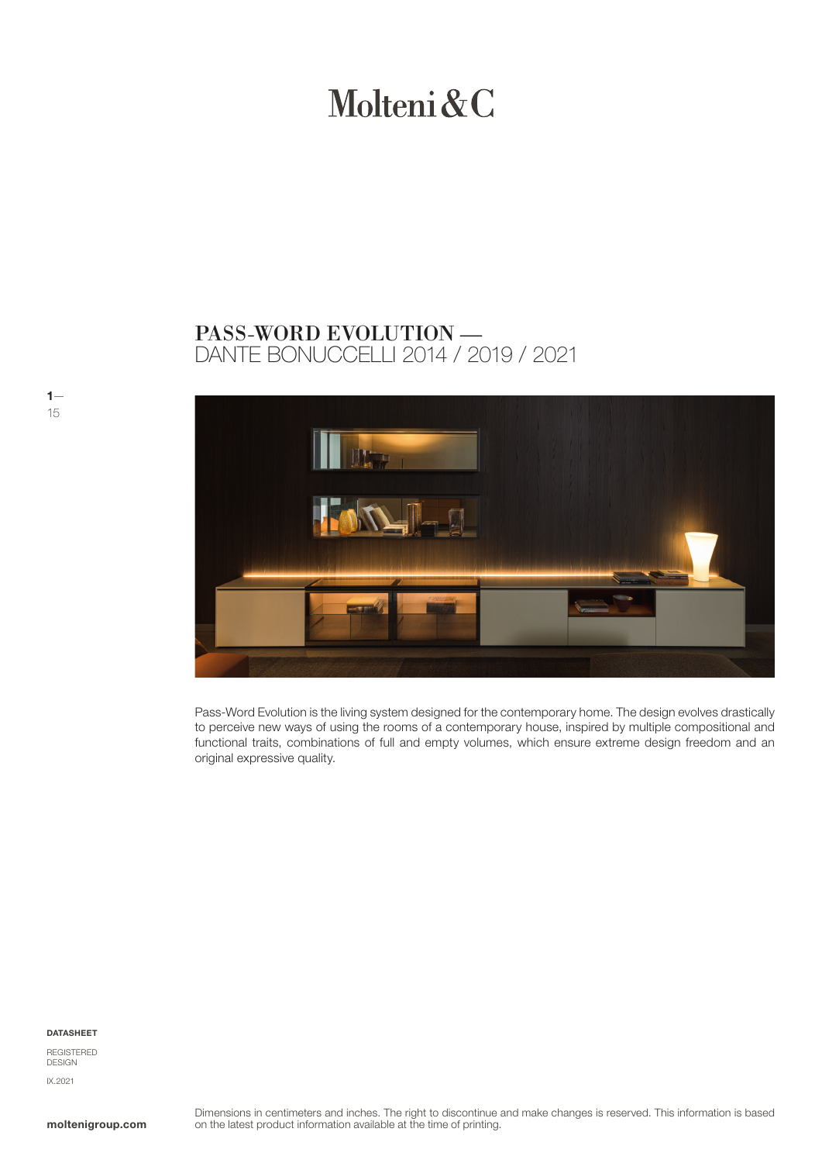# Molteni & C

# DANTE BONUCCELLI 2014 / 2019 / 2021 PASS-WORD EVOLUTION —



Pass-Word Evolution is the living system designed for the contemporary home. The design evolves drastically to perceive new ways of using the rooms of a contemporary house, inspired by multiple compositional and functional traits, combinations of full and empty volumes, which ensure extreme design freedom and an original expressive quality.

DATASHEET

 $1-$ 15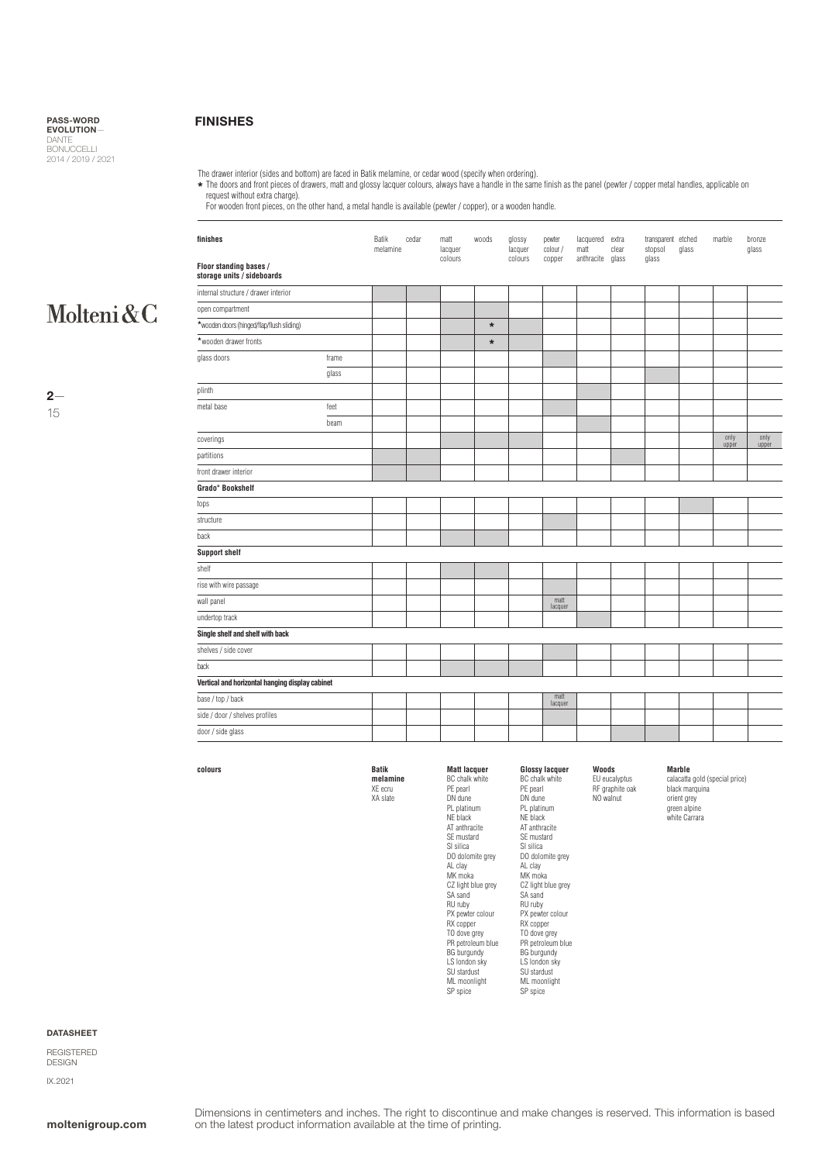### FINISHES

The drawer interior (sides and bottom) are faced in Batik melamine, or cedar wood (specify when ordering).

The doors and front pieces of drawers, matt and glossy lacquer colours, always have a handle in the same finish as the panel (pewter / copper metal handles, applicable on **\***

request without extra charge). For wooden front pieces, on the other hand, a metal handle is available (pewter / copper), or a wooden handle.

# Molteni&C

 $2-$ 15

| finishes                                             |       | Batik<br>melamine | cedar | matt<br>lacquer<br>colours | woods   | glossy<br>lacquer<br>colours | pewter<br>colour /<br>copper | lacquered extra<br>matt<br>anthracite | clear<br>glass | transparent etched<br>stopsol<br>glass | glass | marble        | bronze<br>glass |
|------------------------------------------------------|-------|-------------------|-------|----------------------------|---------|------------------------------|------------------------------|---------------------------------------|----------------|----------------------------------------|-------|---------------|-----------------|
| Floor standing bases /<br>storage units / sideboards |       |                   |       |                            |         |                              |                              |                                       |                |                                        |       |               |                 |
| internal structure / drawer interior                 |       |                   |       |                            |         |                              |                              |                                       |                |                                        |       |               |                 |
| open compartment                                     |       |                   |       |                            |         |                              |                              |                                       |                |                                        |       |               |                 |
| *wooden doors (hinged/flap/flush sliding)            |       |                   |       |                            | $\ast$  |                              |                              |                                       |                |                                        |       |               |                 |
| *wooden drawer fronts                                |       |                   |       |                            | $\star$ |                              |                              |                                       |                |                                        |       |               |                 |
| glass doors                                          | frame |                   |       |                            |         |                              |                              |                                       |                |                                        |       |               |                 |
|                                                      | glass |                   |       |                            |         |                              |                              |                                       |                |                                        |       |               |                 |
| plinth                                               |       |                   |       |                            |         |                              |                              |                                       |                |                                        |       |               |                 |
| metal base                                           | feet  |                   |       |                            |         |                              |                              |                                       |                |                                        |       |               |                 |
|                                                      | beam  |                   |       |                            |         |                              |                              |                                       |                |                                        |       |               |                 |
| coverings                                            |       |                   |       |                            |         |                              |                              |                                       |                |                                        |       | only<br>upper | only<br>upper   |
| partitions                                           |       |                   |       |                            |         |                              |                              |                                       |                |                                        |       |               |                 |
| front drawer interior                                |       |                   |       |                            |         |                              |                              |                                       |                |                                        |       |               |                 |
| Grado° Bookshelf                                     |       |                   |       |                            |         |                              |                              |                                       |                |                                        |       |               |                 |
| tops                                                 |       |                   |       |                            |         |                              |                              |                                       |                |                                        |       |               |                 |
| structure                                            |       |                   |       |                            |         |                              |                              |                                       |                |                                        |       |               |                 |
| back                                                 |       |                   |       |                            |         |                              |                              |                                       |                |                                        |       |               |                 |
| <b>Support shelf</b>                                 |       |                   |       |                            |         |                              |                              |                                       |                |                                        |       |               |                 |
| shelf                                                |       |                   |       |                            |         |                              |                              |                                       |                |                                        |       |               |                 |
| rise with wire passage                               |       |                   |       |                            |         |                              |                              |                                       |                |                                        |       |               |                 |
| wall panel                                           |       |                   |       |                            |         |                              | matt<br>lacquer              |                                       |                |                                        |       |               |                 |
| undertop track                                       |       |                   |       |                            |         |                              |                              |                                       |                |                                        |       |               |                 |
| Single shelf and shelf with back                     |       |                   |       |                            |         |                              |                              |                                       |                |                                        |       |               |                 |
| shelves / side cover                                 |       |                   |       |                            |         |                              |                              |                                       |                |                                        |       |               |                 |
| back                                                 |       |                   |       |                            |         |                              |                              |                                       |                |                                        |       |               |                 |
| Vertical and horizontal hanging display cabinet      |       |                   |       |                            |         |                              |                              |                                       |                |                                        |       |               |                 |
| base / top / back                                    |       |                   |       |                            |         |                              | matt<br>lacquer              |                                       |                |                                        |       |               |                 |
| side / door / shelves profiles                       |       |                   |       |                            |         |                              |                              |                                       |                |                                        |       |               |                 |
| door / side glass                                    |       |                   |       |                            |         |                              |                              |                                       |                |                                        |       |               |                 |

**Matt lacquer** BC chalk white PE pearl DN dune PL platinum NE black AT anthracite SE mustard SI silica DO dolomite grey AL clay MK moka CZ light blue grey SA sand RU ruby PX pewter colour RX copper TO dove grey PR petroleum blue BG burgundy LS london sky SU stardust ML moonlight SP spice

### **colours**

**Batik melamine** XE ecru

XA slate

**Glossy lacquer** BC chalk white PE pearl DN dune PL platinum NE black AT anthracite SE mustard SI silica DO dolomite grey AL clay MK moka CZ light blue grey SA sand RU ruby PX pewter colour RX copper TO dove grey PR petroleum blue BG burgundy LS london sky SU stardust ML moonlight SP spice

#### **Marble**

**Woods** EU eucalyptus RF graphite oak NO walnut

calacatta gold (special price) black marquina orient grey green alpine white Carrara

DATASHEET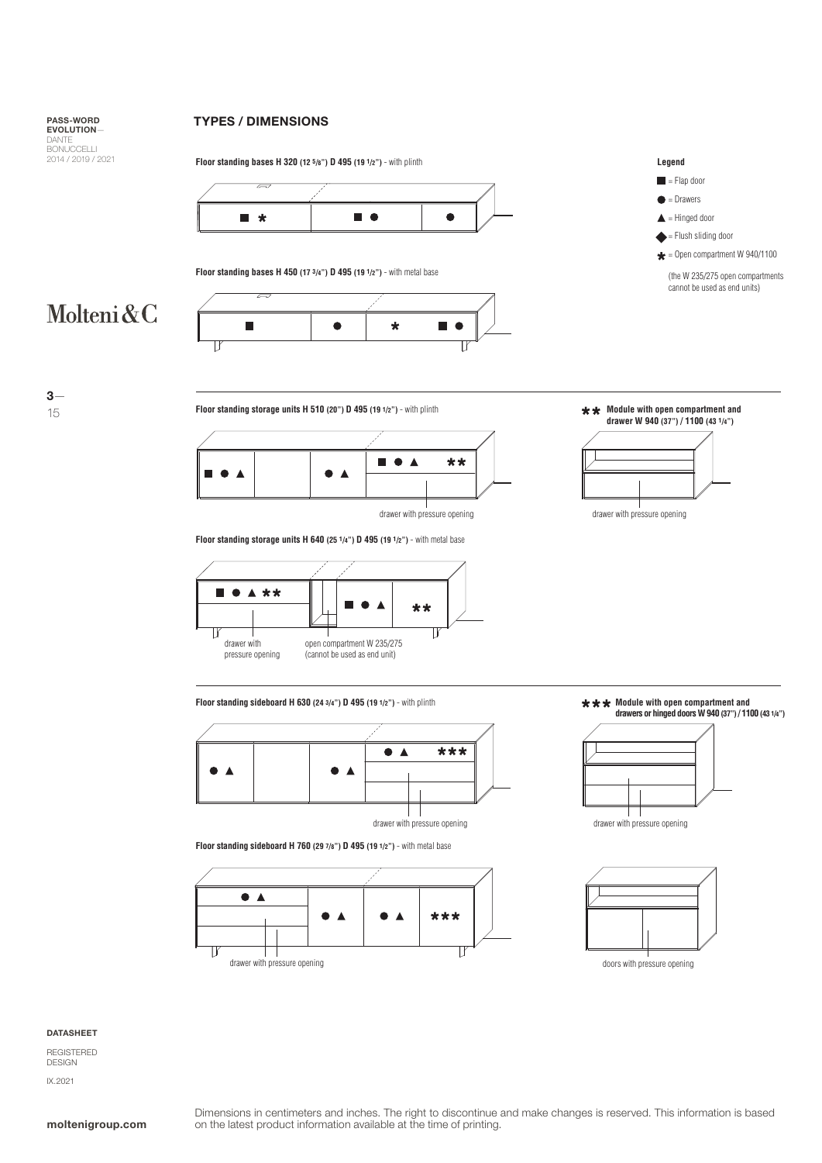Molteni&C

3— 15

### TYPES / DIMENSIONS



**Floor standing bases H 450 (17 3/4") D 495 (19 1/2")** - with metal base

**Floor standing bases H 320 (12 5/8") D 495 (19 1/2")** - with plinth





**Floor standing storage units H 640 (25 1/4") D 495 (19 1/2")** - with metal base



**Floor standing storage units H 510 (20") D 495 (19 1/2")** - with plinth **Module with open compartment and drawer W 940 (37") / 1100 (43 1/4")**

**Legend**  $=$  Flap door  $\bullet$  = Drawers  $\triangle$  = Hinged door = Flush sliding door  $\bigstar$  = Open compartment W 940/1100 (the W 235/275 open compartments cannot be used as end units)





**Floor standing sideboard H 630 (24 3/4") D 495 (19 1/2")** - with plinth



**Floor standing sideboard H 760 (29 7/8") D 495 (19 1/2")** - with metal base







#### DATASHEET

REGISTERED DESIGN IX.2021



 $\star \star \star$  **Module with open compartment and drawers or hinged doors W 940 (37") / 1100 (43 1/4")**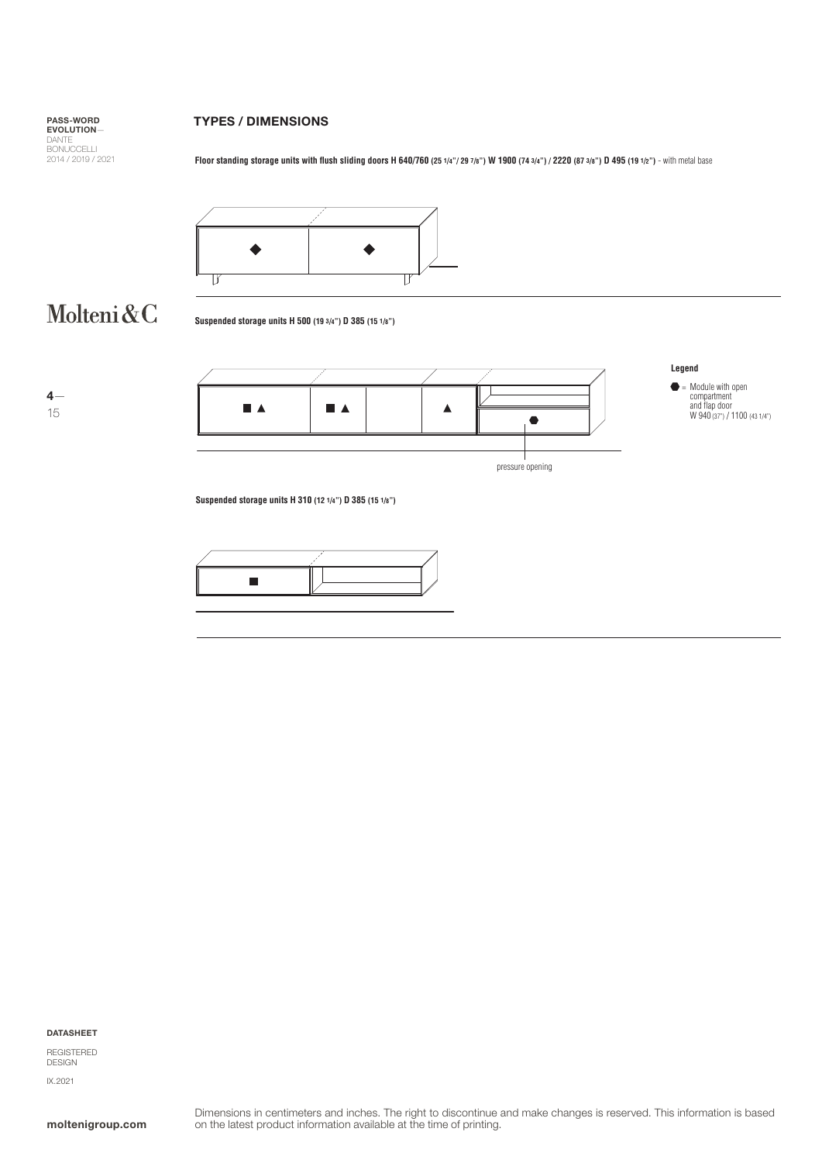## TYPES / DIMENSIONS

**Floor standing storage units with flush sliding doors H 640/760 (25 1/4"/ 29 7/8") W 1900 (74 3/4") / 2220 (87 3/8") D 495 (19 1/2") - with metal base** 



# Molteni&C

**Suspended storage units H 500 (19 3/4") D 385 (15 1/8")**





**Suspended storage units H 310 (12 1/4") D 385 (15 1/8")**



DATASHEET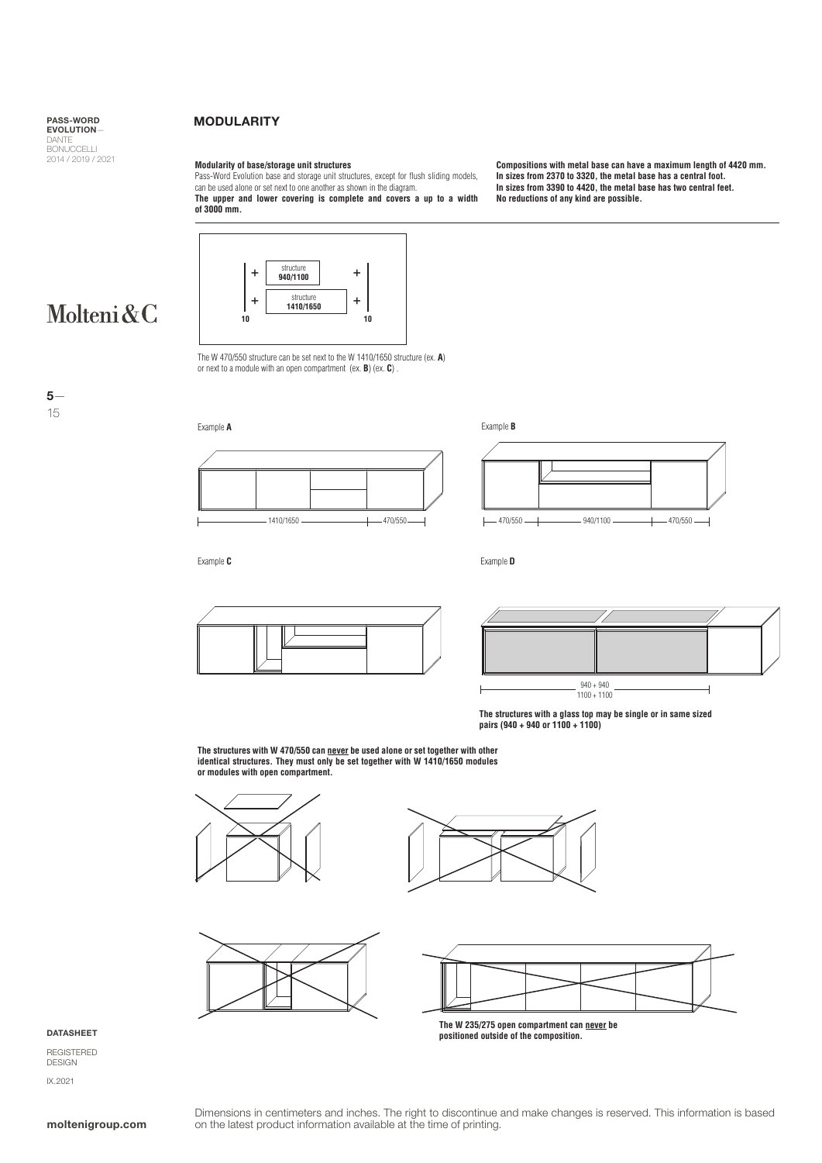### MODULARITY

### **Modularity of base/storage unit structures**

structure + **940/1100** + structu **1410/1650** + **10 10**

Pass-Word Evolution base and storage unit structures, except for flush sliding models, can be used alone or set next to one another as shown in the diagram. **The upper and lower covering is complete and covers a up to a width of 3000 mm.**

**Compositions with metal base can have a maximum length of 4420 mm. In sizes from 2370 to 3320, the metal base has a central foot. In sizes from 3390 to 4420, the metal base has two central feet. No reductions of any kind are possible.** 



5— 15



The W 470/550 structure can be set next to the W 1410/1650 structure (ex. **A**)



Example **C**

Example **D**





**The structures with a glass top may be single or in same sized pairs (940 + 940 or 1100 + 1100)**

**The structures with W 470/550 can never be used alone or set together with other identical structures. They must only be set together with W 1410/1650 modules or modules with open compartment.** 











**The W 235/275 open compartment can never be positioned outside of the composition.**

DATASHEET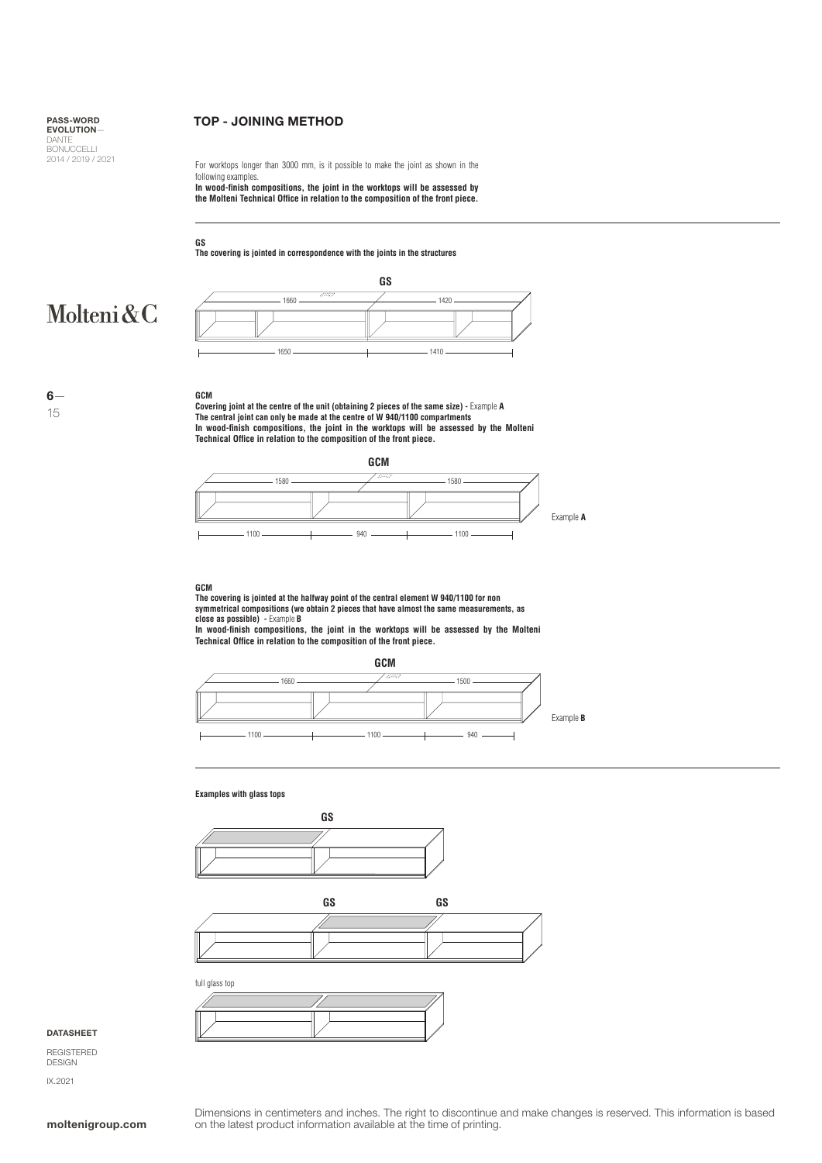## TOP - JOINING METHOD

For worktops longer than 3000 mm, is it possible to make the joint as shown in the following examples. **In wood-finish compositions, the joint in the worktops will be assessed by** 

**the Molteni Technical Office in relation to the composition of the front piece.**

**The covering is jointed in correspondence with the joints in the structures**

# Molteni&C

6— 15



### **GCM**

**GS**

Covering joint at the centre of the unit (obtaining 2 pieces of the same size) - Example A<br>The central joint can only be made at the centre of W 940/1100 compartments<br>In wood-finish compositions, the joint in the worktops



#### **GCM**

**The covering is jointed at the halfway point of the central element W 940/1100 for non symmetrical compositions (we obtain 2 pieces that have almost the same measurements, as close as possible) -** Example **B**

**In wood-finish compositions, the joint in the worktops will be assessed by the Molteni Technical Office in relation to the composition of the front piece.**



### **Examples with glass tops**





full glass top

### **DATASHEET**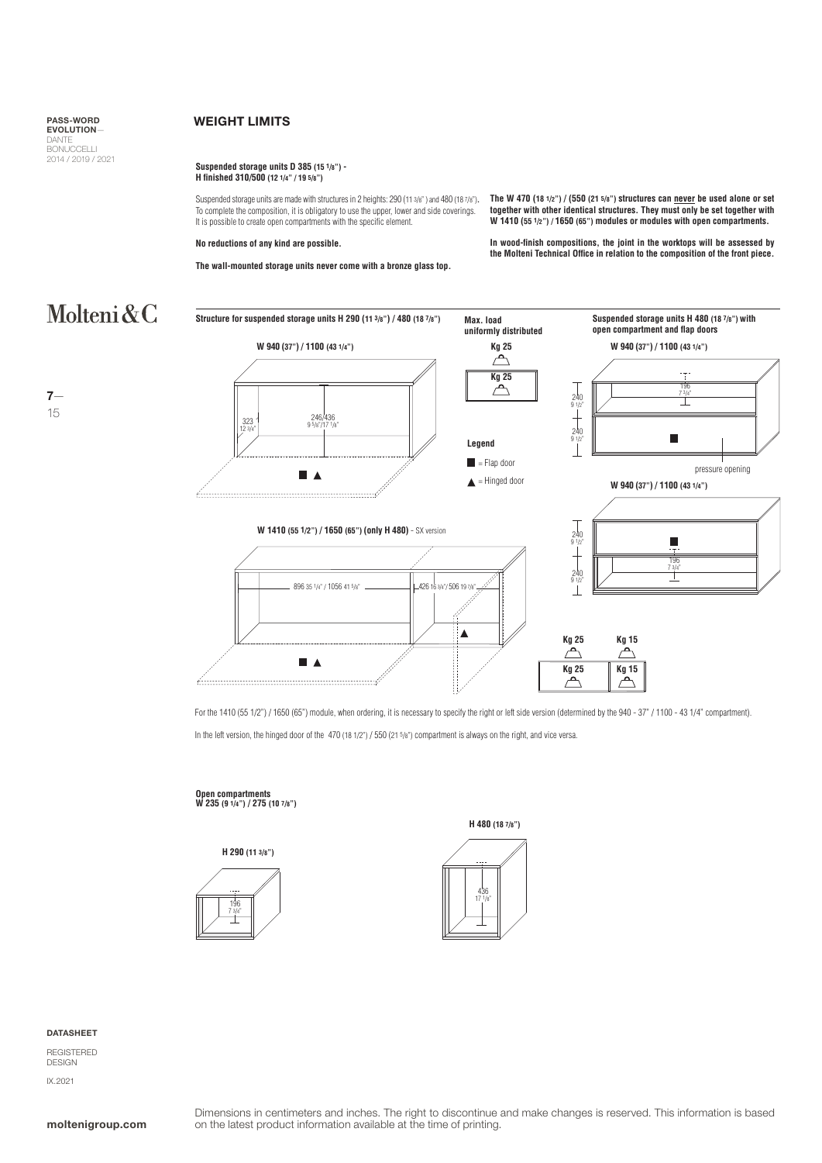### WEIGHT LIMITS

### **Suspended storage units D 385 (15 1/8") - H finished 310/500 (12 1/4" / 19 5/8")**

Suspended storage units are made with structures in 2 heights: 290 (11 3/8" ) and 480 (18 7/8")**.** To complete the composition, it is obligatory to use the upper, lower and side coverings. It is possible to create open compartments with the specific element.

### **No reductions of any kind are possible.**

**The wall-mounted storage units never come with a bronze glass top.**

**The W 470 (18 1/2") / (550 (21 5/8") structures can never be used alone or set together with other identical structures. They must only be set together with W 1410 (55 1/2") / 1650 (65") modules or modules with open compartments.**

**In wood-finish compositions, the joint in the worktops will be assessed by the Molteni Technical Office in relation to the composition of the front piece.**

# Molteni&C









196 <u>7</u>

Г

**open compartment and flap doors**





For the 1410 (55 1/2") / 1650 (65") module, when ordering, it is necessary to specify the right or left side version (determined by the 940 - 37" / 1100 - 43 1/4" compartment).

In the left version, the hinged door of the 470 (18 1/2") / 550 (21 5/8") compartment is always on the right, and vice versa.

# **Open compartments W 235 (9 1/4") / 275 (10 7/8")**







**DATASHEET** 

REGISTERED DESIGN IX.2021

7— 15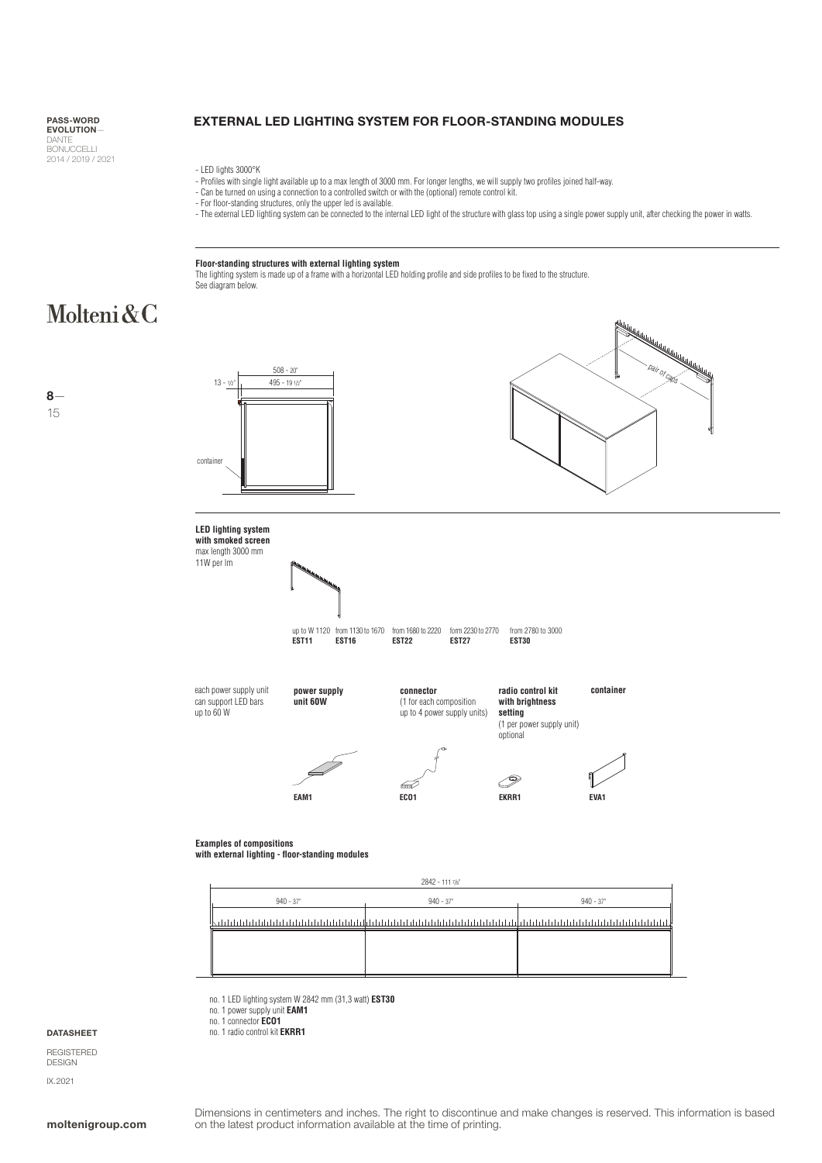DANTE<br>BONUCCELLI 2014 / 2019 / 2021

# PASS-WORD EXTERNAL LED LIGHTING SYSTEM FOR FLOOR-STANDING MODULES

- LED lights 3000°K

- Profiles with single light available up to a max length of 3000 mm. For longer lengths, we will supply two profiles joined half-way.
- Can be turned on using a connection to a controlled switch or with the (optional) remote control kit. For floor-standing structures, only the upper led is available.
- 
- The external LED lighting system can be connected to the internal LED light of the structure with glass top using a single power supply unit, after checking the power in watts.

### **Floor-standing structures with external lighting system**

no. 1 LED lighting system W 2842 mm (31,3 watt) **EST30**

no. 1 power supply unit **EAM1** no. 1 connector **ECO1** no. 1 radio control kit **EKRR1**

The lighting system is made up of a frame with a horizontal LED holding profile and side profiles to be fixed to the structure. See diagram below.

# Molteni&C

8— 15



**DATASHEET**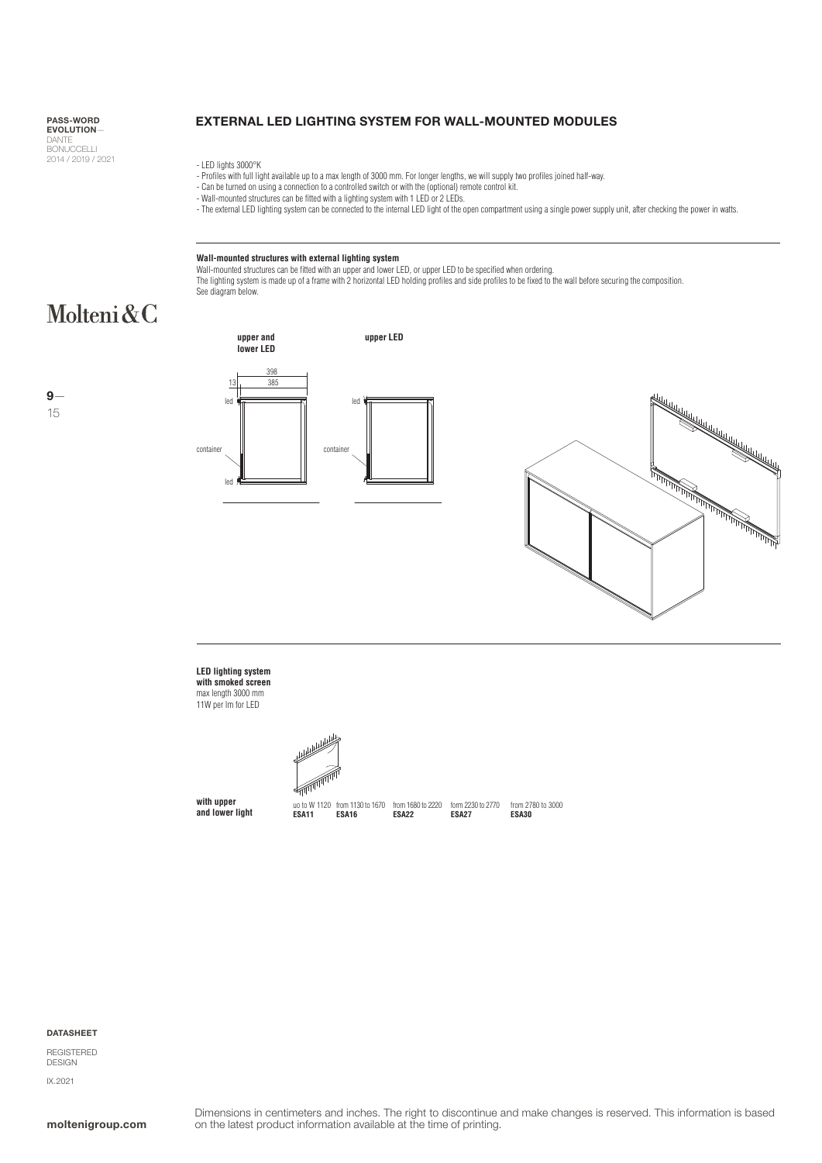### EXTERNAL LED LIGHTING SYSTEM FOR WALL-MOUNTED MODULES

- LED lights 3000°K
- Profiles with full light available up to a max length of 3000 mm. For longer lengths, we will supply two profiles joined half-way<br>- Can be turned on using a connection to a controlled switch or with the (optional) remote
- 
- 
- The external LED lighting system can be connected to the internal LED light of the open compartment using a single power supply unit, after checking the power in watts.

### **Wall-mounted structures with external lighting system**

Wall-mounted structures can be fitted with an upper and lower LED, or upper LED to be specified when ordering.<br>The lighting system is made up of a frame with 2 horizontal LED holding profiles and side profiles to be fixed See diagram below.

# Molteni&C









## **LED lighting system with smoked screen**  max length 3000 mm

11W per lm for LED



**with upper and lower light**

uo to W 1120 **ESA11** from 1130 to 1670 **ESA16**

**ESA22**

from 1680 to 2220 form 2230 to 2770 **ESA27**

from 2780 to 3000 **ESA30**

### DATASHEET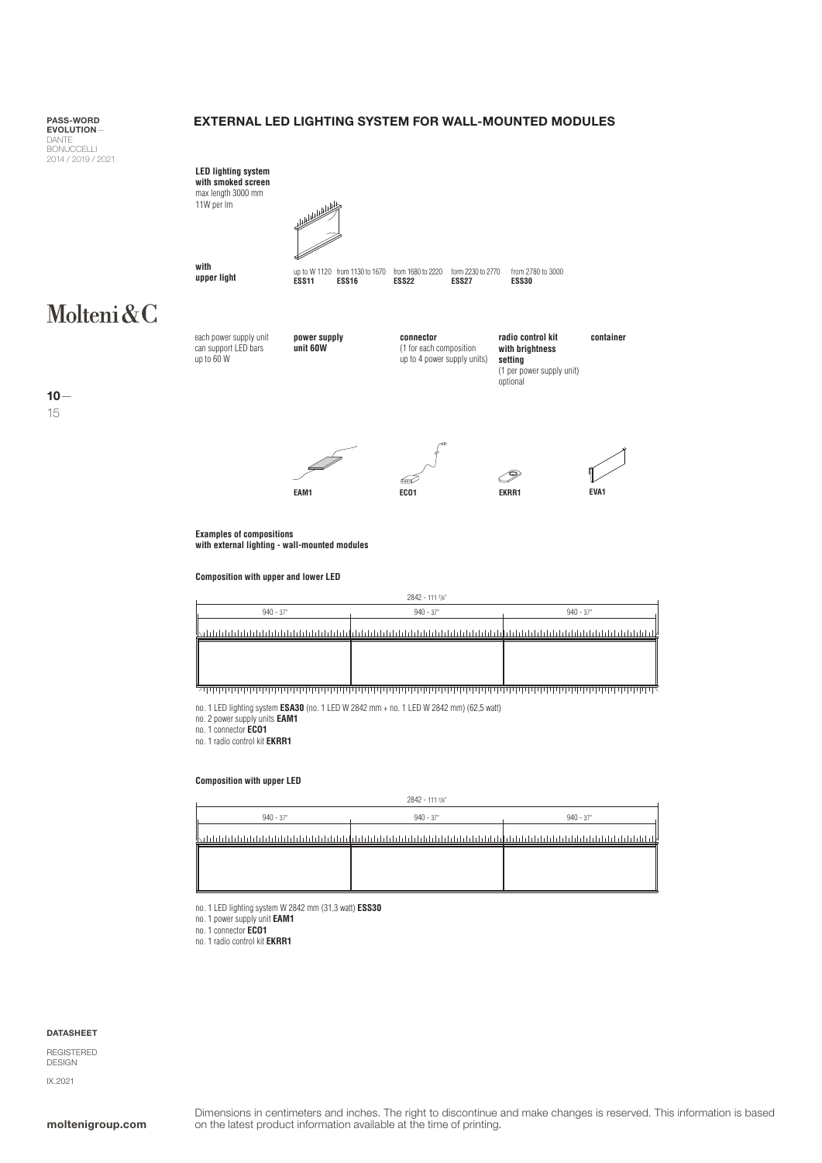### EXTERNAL LED LIGHTING SYSTEM FOR WALL-MOUNTED MODULES

PASS-WORD EVOLUTION— DANTE<br>BONUCCELLI 2014 / 2019 / 2021

# **radio control kit container LED lighting system with smoked screen**  max length 3000 mm 11W per lm up to W 1120 from 1130 to 1670<br>**ESS11 ESS16** from 1680 to 2220 **ESS22** form 2230 to 2770 **ESS27** from 2780 to 3000 **ESS30 with upper light**

Molteni&C

15

 $10 -$ 



**power supply unit 60W**

**connector** (1 for each composition up to 4 power supply units)

**with brightness setting** (1 per power supply unit) optional







**Examples of compositions with external lighting - wall-mounted modules**

**Composition with upper and lower LED**

|             | $2842 - 111$ $7\frac{1}{8}$ |            |
|-------------|-----------------------------|------------|
| $940 - 37"$ | $940 - 37"$                 | $940 - 37$ |
|             |                             |            |
|             |                             |            |
|             |                             |            |
|             |                             |            |

no. 1 LED lighting system **ESA30** (no. 1 LED W 2842 mm + no. 1 LED W 2842 mm) (62,5 watt)

no. 2 power supply units **EAM1** no. 1 connector **ECO1**

no. 1 radio control kit **EKRR1**

### **Composition with upper LED**

|             | $2842 - 1117$ /8" |             |
|-------------|-------------------|-------------|
| $940 - 37"$ | $940 - 37"$       | $940 - 37"$ |
|             |                   | dalah.      |
|             |                   |             |
|             |                   |             |
|             |                   |             |

no. 1 LED lighting system W 2842 mm (31,3 watt) **ESS30** 

no. 1 power supply unit **EAM1**

no. 1 connector **ECO1** no. 1 radio control kit **EKRR1**

### DATASHEET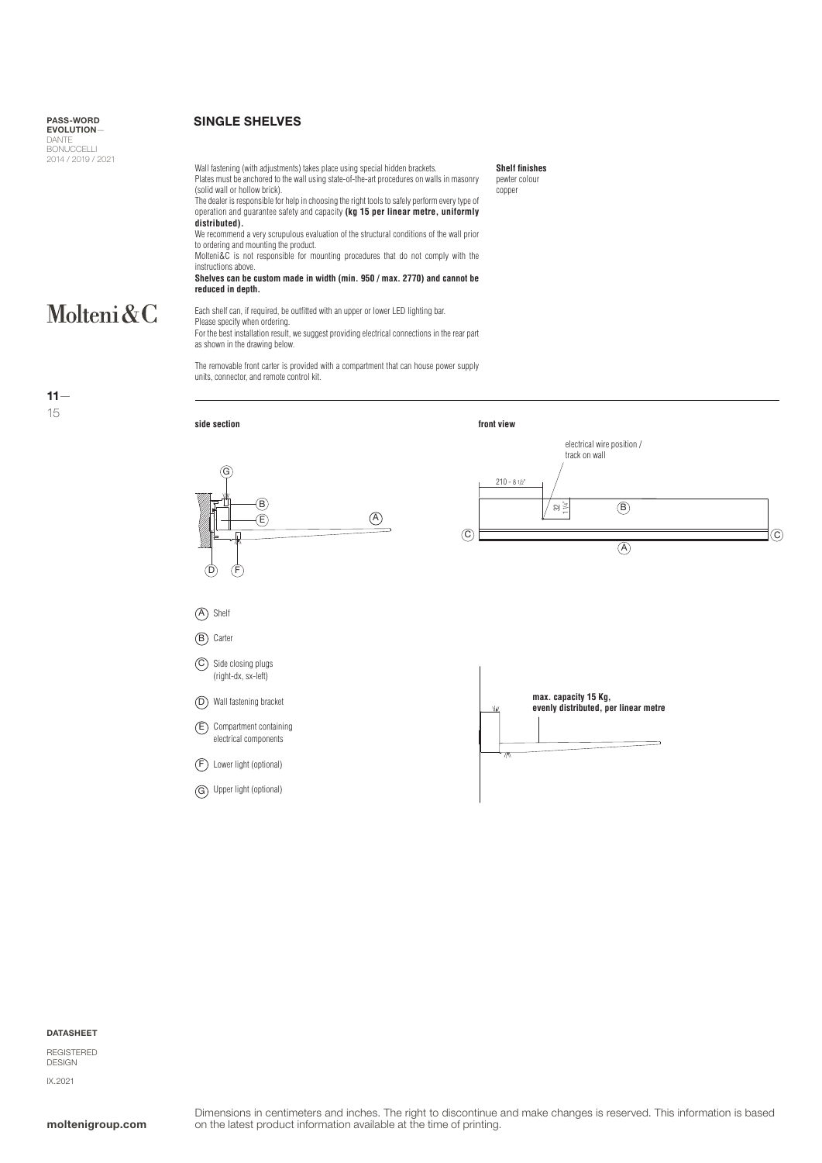### SINGLE SHELVES

Wall fastening (with adjustments) takes place using special hidden brackets. Plates must be anchored to the wall using state-of-the-art procedures on walls in masonry (solid wall or hollow brick).

The dealer is responsible for help in choosing the right tools to safely perform every type of operation and guarantee safety and capacity **(kg 15 per linear metre, uniformly distributed).**

We recommend a very scrupulous evaluation of the structural conditions of the wall prior to ordering and mounting the product.

Molteni&C is not responsible for mounting procedures that do not comply with the instructions above.

**Shelves can be custom made in width (min. 950 / max. 2770) and cannot be reduced in depth.**

# Molteni&C

 $11 -$ 15

Each shelf can, if required, be outfitted with an upper or lower LED lighting bar. Please specify when ordering. For the best installation result, we suggest providing electrical connections in the rear part as shown in the drawing below.

The removable front carter is provided with a compartment that can house power supply units, connector, and remote control kit.



**Shelf finishes** pewter colour copper

#### DATASHEET

REGISTERED IX.2021

# DESIGN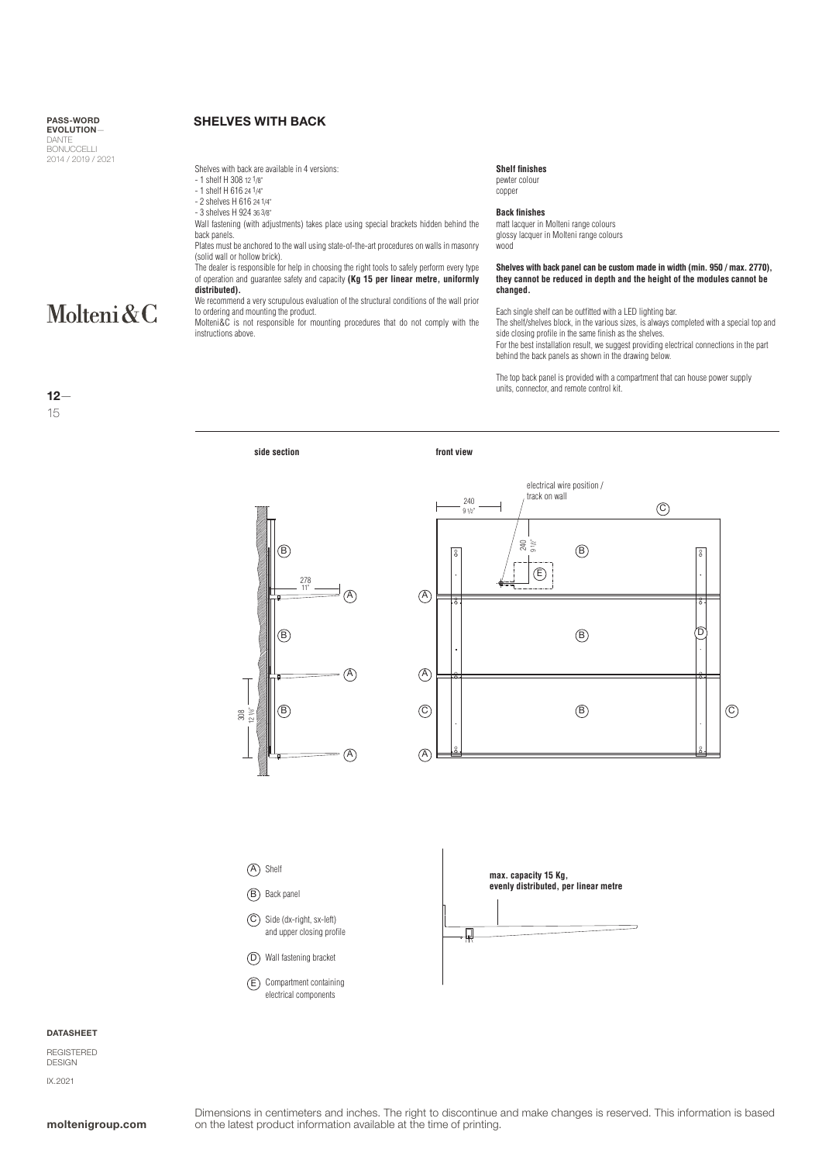### SHELVES WITH BACK

Shelves with back are available in 4 versions:

- 1 shelf H 308 12 1/8"
- 1 shelf H 616 24 1/4"
- 2 shelves H 616 24 1/4" - 3 shelves H 924 36 3/8"
- 

Wall fastening (with adjustments) takes place using special brackets hidden behind the back panels.

Plates must be anchored to the wall using state-of-the-art procedures on walls in masonry (solid wall or hollow brick).

The dealer is responsible for help in choosing the right tools to safely perform every type of operation and guarantee safety and capacity **(Kg 15 per linear metre, uniformly distributed).**

We recommend a very scrupulous evaluation of the structural conditions of the wall prior to ordering and mounting the product.

Molteni&C is not responsible for mounting procedures that do not comply with the instructions above.

| <b>Shelf finishes</b> |
|-----------------------|
| pewter colour         |
| copper                |

**Back finishes**

matt lacquer in Molteni range colours glossy lacquer in Molteni range colours wood

**Shelves with back panel can be custom made in width (min. 950 / max. 2770), they cannot be reduced in depth and the height of the modules cannot be changed.**

Each single shelf can be outfitted with a LED lighting bar.

The shelf/shelves block, in the various sizes, is always completed with a special top and side closing profile in the same finish as the shelves.

For the best installation result, we suggest providing electrical connections in the part behind the back panels as shown in the drawing below.

The top back panel is provided with a compartment that can house power supply units, connector, and remote control kit.





A) Shelt

B) Back panel

C) Side (dx-right, sx-left) and upper closing profile

D) Wall fastening bracket

E) Compartment containing electrical components



**DATASHEET** 

REGISTERED DESIGN IX.2021

Dimensions in centimeters and inches. The right to discontinue and make changes is reserved. This information is based **moltenigroup.com** on the latest product information available at the time of printing.

12—

Molteni&C

15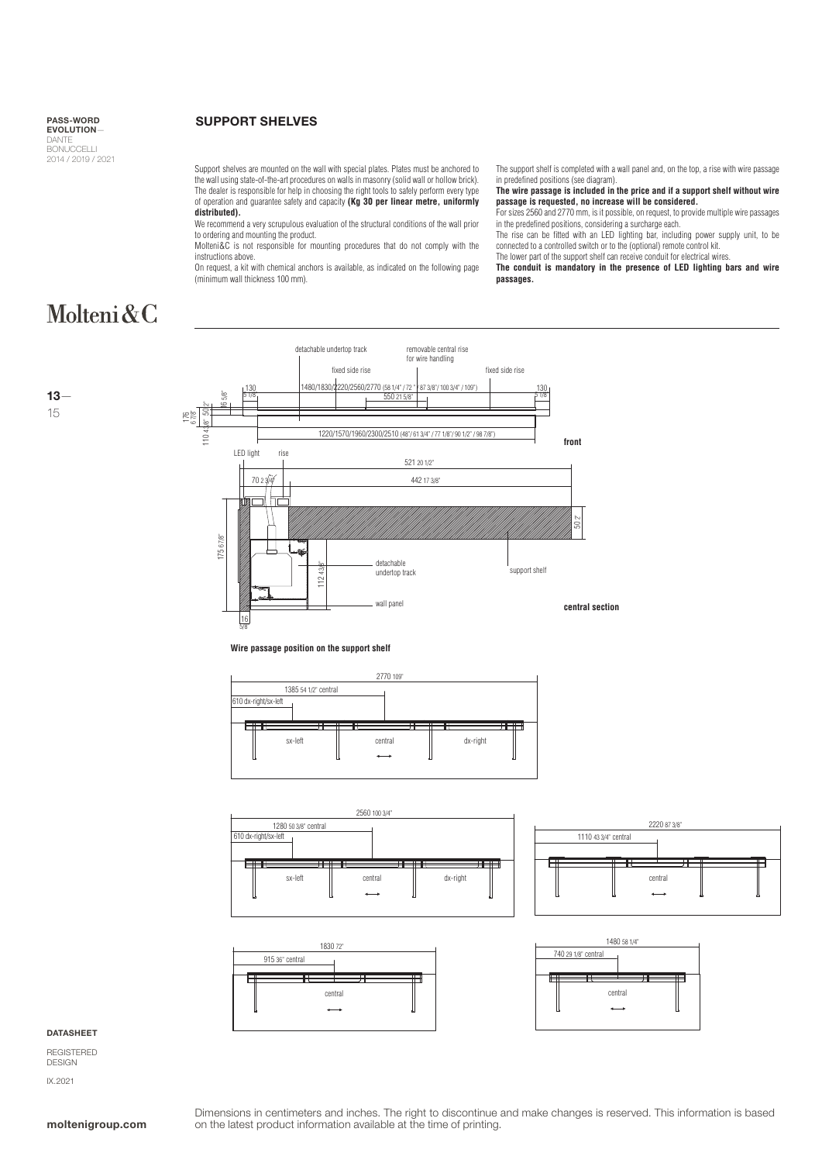### SUPPORT SHELVES

Support shelves are mounted on the wall with special plates. Plates must be anchored to the wall using state-of-the-art procedures on walls in masonry (solid wall or hollow brick). The dealer is responsible for help in choosing the right tools to safely perform every type of operation and guarantee safety and capacity **(Kg 30 per linear metre, uniformly distributed).**

We recommend a very scrupulous evaluation of the structural conditions of the wall prior to ordering and mounting the product.

Molteni&C is not responsible for mounting procedures that do not comply with the instructions above.

On request, a kit with chemical anchors is available, as indicated on the following page (minimum wall thickness 100 mm).

The support shelf is completed with a wall panel and, on the top, a rise with wire passage in predefined positions (see diagram).

**The wire passage is included in the price and if a support shelf without wire passage is requested, no increase will be considered.**

For sizes 2560 and 2770 mm, is it possible, on request, to provide multiple wire passages in the predefined positions, considering a surcharge each.

The rise can be fitted with an LED lighting bar, including power supply unit, to be

connected to a controlled switch or to the (optional) remote control kit. The lower part of the support shelf can receive conduit for electrical wires.

**The conduit is mandatory in the presence of LED lighting bars and wire passages.**

# Molteni&C





**Wire passage position on the support shelf**









#### **DATASHEET**

REGISTERED DESIGN IX.2021

Dimensions in centimeters and inches. The right to discontinue and make changes is reserved. This information is based **moltenigroup.com** on the latest product information available at the time of printing.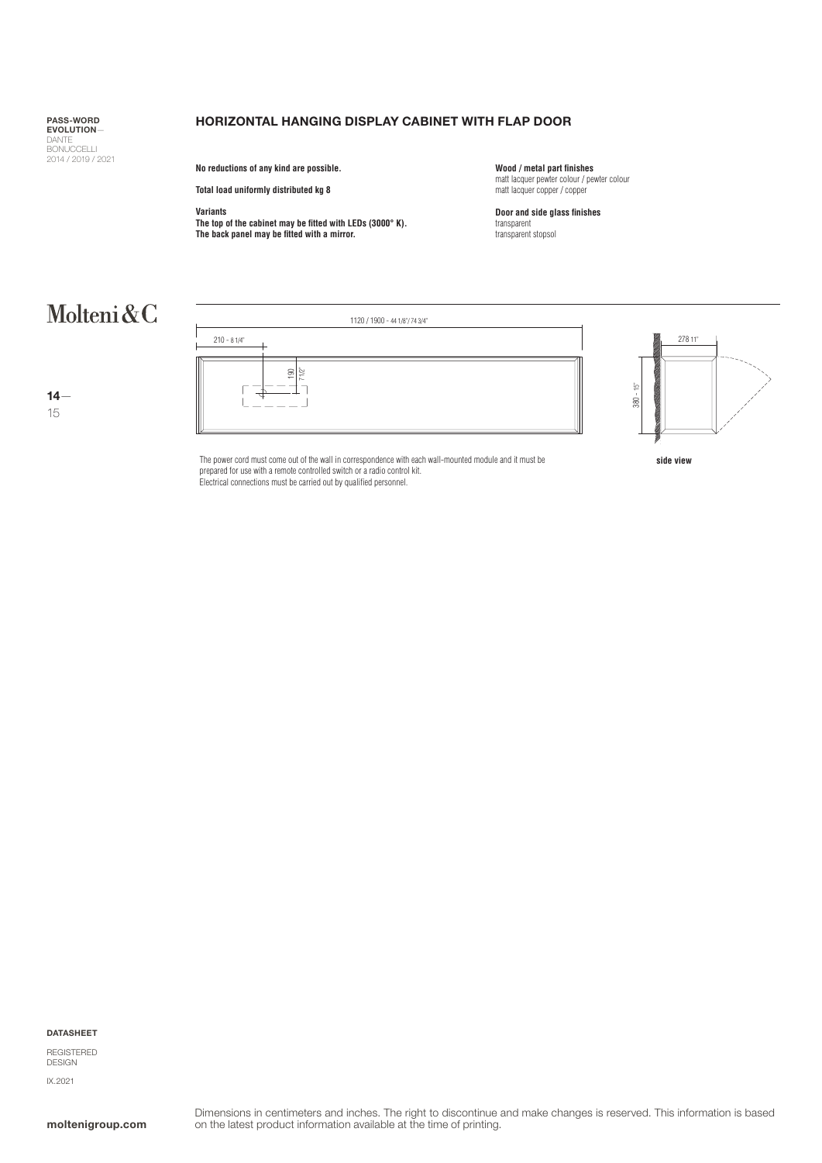## HORIZONTAL HANGING DISPLAY CABINET WITH FLAP DOOR

**No reductions of any kind are possible.**

**Total load uniformly distributed kg 8**

### **Variants**

**The top of the cabinet may be fitted with LEDs (3000° K). The back panel may be fitted with a mirror.**

**Wood / metal part finishes** matt lacquer pewter colour / pewter colour matt lacquer copper / copper

**Door and side glass finishes**  transparent transparent stopsol

# Molteni&C

14— 15



The power cord must come out of the wall in correspondence with each wall-mounted module and it must be **side view** prepared for use with a remote controlled switch or a radio control kit. Electrical connections must be carried out by qualified personnel.

#### DATASHEET